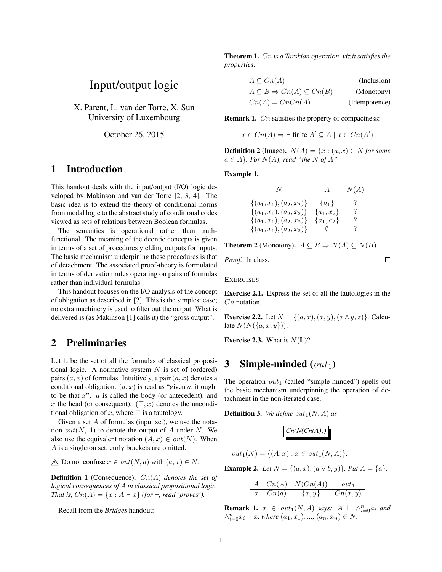# Input/output logic

X. Parent, L. van der Torre, X. Sun University of Luxembourg

October 26, 2015

#### 1 Introduction

This handout deals with the input/output (I/O) logic developed by Makinson and van der Torre [2, 3, 4]. The basic idea is to extend the theory of conditional norms from modal logic to the abstract study of conditional codes viewed as sets of relations between Boolean formulas.

The semantics is operational rather than truthfunctional. The meaning of the deontic concepts is given in terms of a set of procedures yielding outputs for inputs. The basic mechanism underpining these procedures is that of detachment. The associated proof-theory is formulated in terms of derivation rules operating on pairs of formulas rather than individual formulas.

This handout focuses on the I/O analysis of the concept of obligation as described in [2]. This is the simplest case; no extra machinery is used to filter out the output. What is delivered is (as Makinson [1] calls it) the "gross output".

## 2 Preliminaries

Let L be the set of all the formulas of classical propositional logic. A normative system  $N$  is set of (ordered) pairs  $(a, x)$  of formulas. Intuitively, a pair  $(a, x)$  denotes a conditional obligation.  $(a, x)$  is read as "given a, it ought to be that  $x$ ".  $\alpha$  is called the body (or antecedent), and x the head (or consequent).  $(\top, x)$  denotes the unconditional obligation of x, where  $\top$  is a tautology.

Given a set  $A$  of formulas (input set), we use the notation  $out(N, A)$  to denote the output of A under N. We also use the equivalent notation  $(A, x) \in out(N)$ . When A is a singleton set, curly brackets are omitted.

$$
\text{ A \quad Do not confuse } x \in out(N, a) \text{ with } (a, x) \in N.
$$

Definition 1 (Consequence). Cn(A) *denotes the set of logical consequences of* A *in classical propositional logic. That is,*  $Cn(A) = \{x : A \vdash x\}$  *(for*  $\vdash$ *, read 'proves').* 

Recall from the *Bridges* handout:

Theorem 1. Cn *is a Tarskian operation, viz it satisfies the properties:*

| $A \subseteq Cn(A)$                               | (Inclusion)   |
|---------------------------------------------------|---------------|
| $A \subseteq B \Rightarrow Cn(A) \subseteq Cn(B)$ | (Monotony)    |
| $Cn(A) = CnCn(A)$                                 | (Idempotence) |

**Remark 1.**  $C_n$  satisfies the property of compactness:

$$
x \in Cn(A) \Rightarrow \exists \text{ finite } A' \subseteq A \mid x \in Cn(A')
$$

**Definition 2** (Image).  $N(A) = \{x : (a, x) \in N \text{ for some } x \in N\}$  $a \in A$ *}. For*  $N(A)$ *, read "the* N of A".

Example 1.

| N.                         | $\overline{A}$ | N(A)     |
|----------------------------|----------------|----------|
| $\{(a_1,x_1),(a_2,x_2)\}\$ | $\{a_1\}$      | $\gamma$ |
| $\{(a_1,x_1),(a_2,x_2)\}\$ | $\{a_1, x_2\}$ | $\gamma$ |
| $\{(a_1,x_1),(a_2,x_2)\}\$ | $\{a_1, a_2\}$ | ?        |
| $\{(a_1,x_1),(a_2,x_2)\}\$ | $\emptyset$    | ?        |

**Theorem 2** (Monotony).  $A \subseteq B \Rightarrow N(A) \subseteq N(B)$ .

*Proof.* In class.

**EXERCISES** 

Exercise 2.1. Express the set of all the tautologies in the C<sub>n</sub> notation.

 $\Box$ 

**Exercise 2.2.** Let  $N = \{(a, x), (x, y), (x \wedge y, z)\}\)$ . Calculate  $N(N({a,x,y})).$ 

**Exercise 2.3.** What is  $N(\mathbb{L})$ ?

## 3 Simple-minded  $(out_1)$

The operation  $out_1$  (called "simple-minded") spells out the basic mechanism underpinning the operation of detachment in the non-iterated case.

**Definition 3.** We define  $out_1(N, A)$  as

$$
\boxed{Cn(N(Cn(A)))}
$$

 $out_1(N) = \{(A, x) : x \in out_1(N, A)\}.$ 

**Example 2.** *Let*  $N = \{(a, x), (a \vee b, y)\}$ *. Put*  $A = \{a\}$ *.* 

$$
\begin{array}{c|c}\nA & Cn(A) & N(Cn(A)) & out_1 \\
\hline\na & Cn(a) & \{x, y\} & Cn(x, y)\n\end{array}
$$

**Remark 1.**  $x \in out_1(N, A)$  says:  $A \vdash \wedge_{i=0}^n a_i$  and  $\wedge_{i=0}^{n} x_i \vdash x$ , where  $(a_1, x_1)$ , ...,  $(a_n, x_n) \in N$ .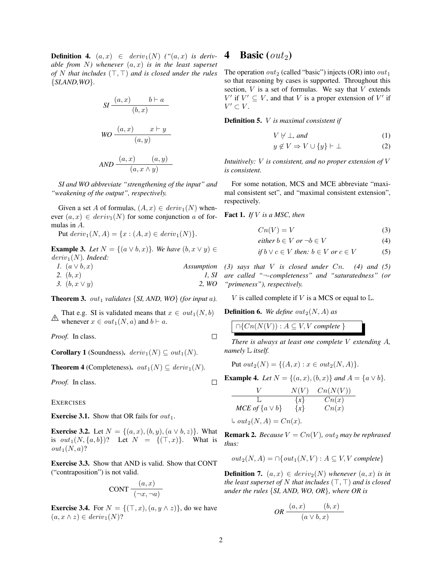**Definition 4.**  $(a, x) \in deriv_1(N)$  (" $(a, x)$  is deriv*able from* N*) whenever* (a, x) *is in the least superset of* N that includes  $(T, T)$  *and is closed under the rules* {*SI,AND,WO*}*.*

SI 
$$
\frac{(a, x) \quad b \vdash a}{(b, x)}
$$
  
WO 
$$
\frac{(a, x) \quad x \vdash y}{(a, y)}
$$
  
AND 
$$
\frac{(a, x) \quad (a, y)}{(a, x \land y)}
$$

*SI and WO abbreviate "strengthening of the input" and "weakening of the output", respectively.*

Given a set A of formulas,  $(A, x) \in deriv_1(N)$  whenever  $(a, x) \in deriv_1(N)$  for some conjunction a of formulas in A.

Put  $deriv_1(N, A) = \{x : (A, x) \in deriv_1(N)\}.$ 

**Example 3.** Let  $N = \{(a \lor b, x)\}\)$ . We have  $(b, x \lor y) \in$ deriv<sub>1</sub>(N). Indeed:

| 1. $(a \vee b, x)$ | Assumption |
|--------------------|------------|
| 2. $(b, x)$        | 1, SI      |
| 3. $(b, x \vee y)$ | 2. WO      |

**Theorem 3.**  $out_1$  *validates* {*SI, AND, WO*} *(for input a).* 

A final e.g. St is vanidated means that<br>whenever  $x \in out_1(N, a)$  and  $b \vdash a$ . That e.g. SI is validated means that  $x \in out_1(N, b)$ 

*Proof.* In class.

**Corollary 1** (Soundness).  $deriv_1(N) \subseteq out_1(N)$ .

**Theorem 4** (Completeness).  $out_1(N) \subseteq deriv_1(N)$ .

*Proof.* In class.

**EXERCISES** 

**Exercise 3.1.** Show that OR fails for  $out_1$ .

**Exercise 3.2.** Let  $N = \{(a, x), (b, y), (a \vee b, z)\}\$ . What is  $out_1(N, {a, b})$ ? Let  $N = {(T, x)}$ . What is  $out_1(N, a)$ ?

Exercise 3.3. Show that AND is valid. Show that CONT ("contraposition") is not valid.

$$
CONT\frac{(a,x)}{(\neg x, \neg a)}
$$

**Exercise 3.4.** For  $N = \{(\top, x), (a, y \wedge z)\}\)$ , do we have  $(a, x \wedge z) \in deriv_1(N)$ ?

#### 4 Basic  $(out_2)$

The operation  $out_2$  (called "basic") injects (OR) into  $out_1$ so that reasoning by cases is supported. Throughout this section,  $V$  is a set of formulas. We say that  $V$  extends  $V'$  if  $V' \subseteq V$ , and that V is a proper extension of V' if  $V' \subset V$ .

Definition 5. V *is maximal consistent if*

$$
V \not\vdash \bot, \text{ and } (1)
$$

$$
y \notin V \Rightarrow V \cup \{y\} \vdash \bot \tag{2}
$$

*Intuitively:* V *is consistent, and no proper extension of* V *is consistent.*

For some notation, MCS and MCE abbreviate "maximal consistent set", and "maximal consistent extension", respectively.

Fact 1. *If* V *is a MSC, then*

$$
Cn(V) = V \tag{3}
$$

$$
either b \in V \text{ or } \neg b \in V \tag{4}
$$

if 
$$
b \lor c \in V
$$
 then:  $b \in V$  or  $c \in V$  (5)

*(3) says that* V *is closed under* Cn*. (4) and (5) are called "*¬*-completeness" and "saturatedness" (or "primeness"), respectively.*

V is called complete if V is a MCS or equal to  $\mathbb{L}$ .

**Definition 6.** We define  $out_2(N, A)$  as

 $\bigcap \{Cn(N(V)) : A \subseteq V, V \text{ complete }\}$ 

*There is always at least one complete* V *extending* A*, namely* L *itself.*

Put 
$$
out_2(N) = \{(A, x) : x \in out_2(N, A)\}.
$$

**Example 4.** *Let*  $N = \{(a, x), (b, x)\}$  *and*  $A = \{a \lor b\}.$ 

$$
V \t N(V) \t Cn(N(V))
$$
  
\n
$$
L \t {x} \t Cn(x)
$$
  
\n
$$
MCE \t of \t {a \vee b} \t {x} \t Cn(x)
$$

$$
\text{L out}_2(N, A) = Cn(x)
$$

**Remark 2.** *Because*  $V = Cn(V)$ *, out<sub>2</sub> may be rephrased thus:*

$$
out_2(N, A) = \bigcap \{out_1(N, V) : A \subseteq V, V \text{ complete}\}\
$$

**Definition 7.**  $(a, x) \in deriv_2(N)$  *whenever*  $(a, x)$  *is in the least superset of* N *that includes*  $(T, T)$  *and is closed under the rules* {*SI, AND, WO, OR*}*, where OR is*

$$
OR \frac{(a, x) \qquad (b, x)}{(a \vee b, x)}
$$

 $\Box$ 

 $\Box$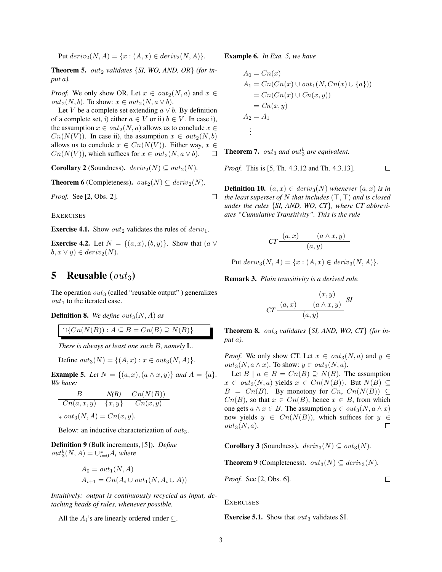Put  $deriv_2(N, A) = \{x : (A, x) \in deriv_2(N, A)\}.$ 

**Theorem 5.**  $out_2$  *validates* {*SI, WO, AND, OR*} *(for input* a*).*

*Proof.* We only show OR. Let  $x \in out_2(N, a)$  and  $x \in$  $out_2(N, b)$ . To show:  $x \in out_2(N, a \vee b)$ .

Let V be a complete set extending  $a \vee b$ . By definition of a complete set, i) either  $a \in V$  or ii)  $b \in V$ . In case i), the assumption  $x \in out_2(N, a)$  allows us to conclude  $x \in$  $Cn(N(V))$ . In case ii), the assumption  $x \in out_2(N, b)$ allows us to conclude  $x \in C_n(N(V))$ . Either way,  $x \in$  $Cn(N(V))$ , which suffices for  $x \in out_2(N, a \vee b)$ .  $\Box$ 

**Corollary 2** (Soundness).  $deriv_2(N) \subseteq out_2(N)$ .

**Theorem 6** (Completeness).  $out_2(N) \subseteq deriv_2(N)$ .

*Proof.* See [2, Obs. 2].

**EXERCISES** 

**Exercise 4.1.** Show  $out_2$  validates the rules of  $deriv_1$ .

**Exercise 4.2.** Let  $N = \{(a, x), (b, y)\}\$ . Show that  $(a \vee$  $b, x \vee y) \in deriv_2(N).$ 

## 5 Reusable  $(out_3)$

The operation  $out_3$  (called "reusable output") generalizes  $out_1$  to the iterated case.

**Definition 8.** We define out<sub>3</sub> $(N, A)$  as

$$
\cap \{Cn(N(B)): A \subseteq B = Cn(B) \supseteq N(B)\}
$$

*There is always at least one such* B*, namely* L*.*

Define  $out_3(N) = \{(A, x) : x \in out_3(N, A)\}.$ 

**Example 5.** Let  $N = \{(a, x), (a \wedge x, y)\}$  and  $A = \{a\}.$ *We have:*

$$
\begin{array}{c|cc}\n & N(B) & C_n(N(B)) \\
\hline\n\text{C}_n(a, x, y) & \{x, y\} & \text{C}_n(x, y)\n\end{array}
$$

$$
\text{L out}_3(N, A) = Cn(x, y).
$$

Below: an inductive characterization of  $out_3$ .

Definition 9 (Bulk increments, [5]). *Define*  $out_3^b(N, A) = \bigcup_{i=0}^{\omega} A_i$  where

$$
A_0 = out_1(N, A)
$$
  

$$
A_{i+1} = Cn(A_i \cup out_1(N, A_i \cup A))
$$

*Intuitively: output is continuously recycled as input, detaching heads of rules, whenever possible.*

All the  $A_i$ 's are linearly ordered under  $\subseteq$ .

Example 6. *In Exa. 5, we have*

$$
A_0 = Cn(x)
$$
  
\n
$$
A_1 = Cn(Cn(x) \cup out_1(N, Cn(x) \cup \{a\}))
$$
  
\n
$$
= Cn(Cn(x) \cup Cn(x, y))
$$
  
\n
$$
= Cn(x, y)
$$
  
\n
$$
A_2 = A_1
$$
  
\n
$$
\vdots
$$

**Theorem 7.**  $out_3$  and  $out_3^b$  are equivalent.

*Proof.* This is [5, Th. 4.3.12 and Th. 4.3.13].

**Definition 10.**  $(a, x) \in deriv_3(N)$  *whenever*  $(a, x)$  *is in the least superset of* N *that includes*  $(\top, \top)$  *and is closed under the rules* {*SI, AND, WO, CT*}*, where CT abbreviates "Cumulative Transitivity". This is the rule*

$$
CT \frac{(a,x) \qquad (a \wedge x,y)}{(a,y)}
$$

Put  $deriv_3(N, A) = \{x : (A, x) \in deriv_3(N, A)\}.$ 

Remark 3. *Plain transitivity is a derived rule.*

$$
CT \frac{(x,y)}{(a,x)} \frac{(x,y)}{(a \land x,y)} \, SI
$$

**Theorem 8.**  $out_3$  *validates* {*SI, AND, WO, CT*} *(for input* a*).*

*Proof.* We only show CT. Let  $x \in out_3(N, a)$  and  $y \in$  $out_3(N, a \wedge x)$ . To show:  $y \in out_3(N, a)$ .

Let  $B \mid a \in B = Cn(B) \supseteq N(B)$ . The assumption  $x \in out_3(N, a)$  yields  $x \in Cn(N(B))$ . But  $N(B) \subseteq$  $B = Cn(B)$ . By monotony for  $Cn$ ,  $Cn(N(B)) \subseteq$  $Cn(B)$ , so that  $x \in Cn(B)$ , hence  $x \in B$ , from which one gets  $a \wedge x \in B$ . The assumption  $y \in out_3(N, a \wedge x)$ now yields  $y \in C_n(N(B))$ , which suffices for  $y \in C_n(N(B))$  $out_3(N, a)$ .  $\Box$ 

**Corollary 3** (Soundness).  $deriv_3(N) \subseteq out_3(N)$ .

**Theorem 9** (Completeness).  $out_3(N) \subseteq deriv_3(N)$ .

*Proof.* See [2, Obs. 6].

 $\Box$ 

 $\Box$ 

**EXERCISES** 

**Exercise 5.1.** Show that  $out_3$  validates SI.

 $\Box$